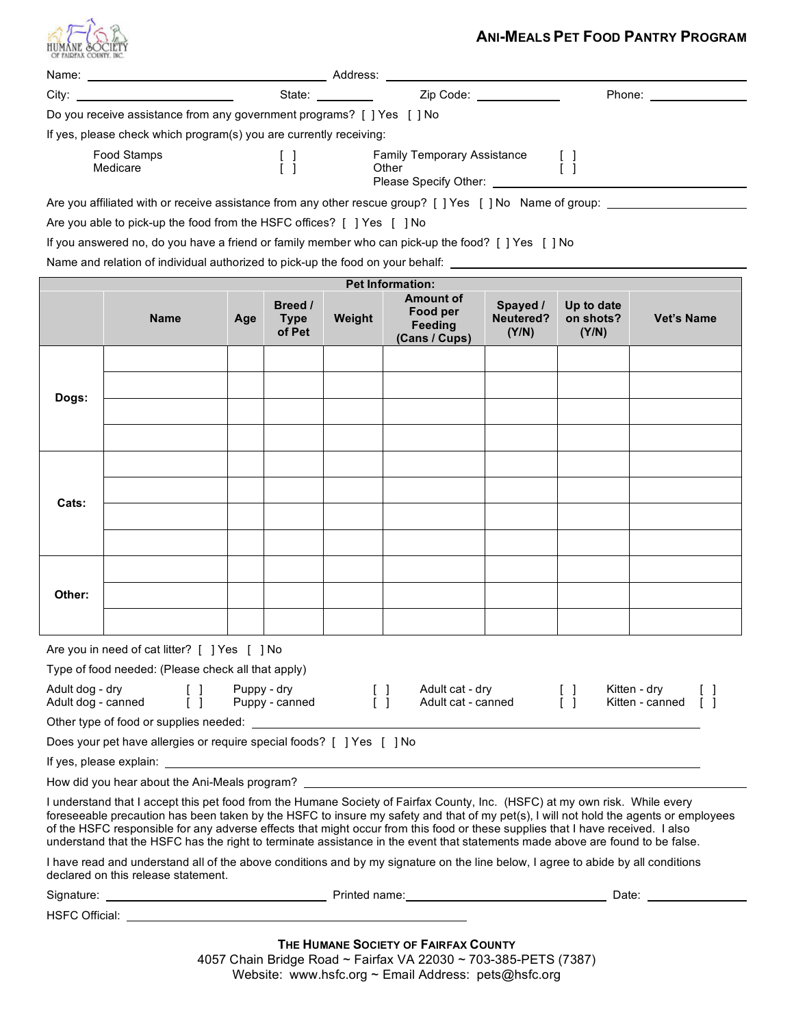

## **ANI-MEALS PET FOOD PANTRY PROGRAM**

| HUMANE &OCIET<br>OF FAIDFAX COUNTY, II |                                                                                                                                                                                                                                |     |                                                                        |                                                                                     |                                                          |                                |                                                                 | ANI-IVIEALS FEI FUUD FANIRT FRUGRAM |
|----------------------------------------|--------------------------------------------------------------------------------------------------------------------------------------------------------------------------------------------------------------------------------|-----|------------------------------------------------------------------------|-------------------------------------------------------------------------------------|----------------------------------------------------------|--------------------------------|-----------------------------------------------------------------|-------------------------------------|
|                                        |                                                                                                                                                                                                                                |     |                                                                        |                                                                                     |                                                          |                                |                                                                 |                                     |
|                                        | City: the contract of the contract of the contract of the contract of the contract of the contract of the contract of the contract of the contract of the contract of the contract of the contract of the contract of the cont |     |                                                                        |                                                                                     |                                                          |                                | State: ___________ Zip Code: ______________ Phone: ____________ |                                     |
|                                        | Do you receive assistance from any government programs? [ ] Yes [ ] No                                                                                                                                                         |     |                                                                        |                                                                                     |                                                          |                                |                                                                 |                                     |
|                                        | If yes, please check which program(s) you are currently receiving:                                                                                                                                                             |     |                                                                        |                                                                                     |                                                          |                                |                                                                 |                                     |
| Food Stamps<br>Medicare                |                                                                                                                                                                                                                                |     | $\begin{bmatrix} 1 \end{bmatrix}$<br>$\begin{bmatrix} 1 \end{bmatrix}$ | Family Temporary Assistance [ ]<br>$\Box$<br>Other [ ]<br>Please Specify Other: [ ] |                                                          |                                |                                                                 |                                     |
|                                        |                                                                                                                                                                                                                                |     |                                                                        |                                                                                     |                                                          |                                |                                                                 |                                     |
|                                        | Are you able to pick-up the food from the HSFC offices? [ ] Yes [ ] No                                                                                                                                                         |     |                                                                        |                                                                                     |                                                          |                                |                                                                 |                                     |
|                                        | If you answered no, do you have a friend or family member who can pick-up the food? [ ] Yes [ ] No                                                                                                                             |     |                                                                        |                                                                                     |                                                          |                                |                                                                 |                                     |
|                                        | Name and relation of individual authorized to pick-up the food on your behalf:                                                                                                                                                 |     |                                                                        |                                                                                     |                                                          |                                |                                                                 |                                     |
|                                        |                                                                                                                                                                                                                                |     |                                                                        |                                                                                     | <b>Pet Information:</b>                                  |                                |                                                                 |                                     |
|                                        | <b>Name</b>                                                                                                                                                                                                                    | Age | Breed /<br><b>Type</b><br>of Pet                                       | Weight                                                                              | <b>Amount of</b><br>Food per<br>Feeding<br>(Cans / Cups) | Spayed /<br>Neutered?<br>(Y/N) | Up to date<br>on shots?<br>(Y/N)                                | <b>Vet's Name</b>                   |
|                                        |                                                                                                                                                                                                                                |     |                                                                        |                                                                                     |                                                          |                                |                                                                 |                                     |
| Dogs:                                  |                                                                                                                                                                                                                                |     |                                                                        |                                                                                     |                                                          |                                |                                                                 |                                     |
|                                        |                                                                                                                                                                                                                                |     |                                                                        |                                                                                     |                                                          |                                |                                                                 |                                     |
|                                        |                                                                                                                                                                                                                                |     |                                                                        |                                                                                     |                                                          |                                |                                                                 |                                     |
|                                        |                                                                                                                                                                                                                                |     |                                                                        |                                                                                     |                                                          |                                |                                                                 |                                     |
|                                        |                                                                                                                                                                                                                                |     |                                                                        |                                                                                     |                                                          |                                |                                                                 |                                     |
|                                        |                                                                                                                                                                                                                                |     |                                                                        |                                                                                     |                                                          |                                |                                                                 |                                     |
| Cats:                                  |                                                                                                                                                                                                                                |     |                                                                        |                                                                                     |                                                          |                                |                                                                 |                                     |
|                                        |                                                                                                                                                                                                                                |     |                                                                        |                                                                                     |                                                          |                                |                                                                 |                                     |
|                                        |                                                                                                                                                                                                                                |     |                                                                        |                                                                                     |                                                          |                                |                                                                 |                                     |
|                                        |                                                                                                                                                                                                                                |     |                                                                        |                                                                                     |                                                          |                                |                                                                 |                                     |
| Other:                                 |                                                                                                                                                                                                                                |     |                                                                        |                                                                                     |                                                          |                                |                                                                 |                                     |
|                                        |                                                                                                                                                                                                                                |     |                                                                        |                                                                                     |                                                          |                                |                                                                 |                                     |
|                                        |                                                                                                                                                                                                                                |     |                                                                        |                                                                                     |                                                          |                                |                                                                 |                                     |

Are you in need of cat litter? [ ] Yes [ ] No

| Type of food needed: (Please check all that apply)                              |                               |  |                                       |  |                                 |  |  |  |
|---------------------------------------------------------------------------------|-------------------------------|--|---------------------------------------|--|---------------------------------|--|--|--|
| Adult dog - dry<br>Adult dog - canned<br>Other type of food or supplies needed: | Puppy - dry<br>Puppy - canned |  | Adult cat - dry<br>Adult cat - canned |  | Kitten - drv<br>Kitten - canned |  |  |  |

Does your pet have allergies or require special foods? [ ] Yes [ ] No

If yes, please explain:

How did you hear about the Ani-Meals program?

I understand that I accept this pet food from the Humane Society of Fairfax County, Inc. (HSFC) at my own risk. While every foreseeable precaution has been taken by the HSFC to insure my safety and that of my pet(s), I will not hold the agents or employees of the HSFC responsible for any adverse effects that might occur from this food or these supplies that I have received. I also understand that the HSFC has the right to terminate assistance in the event that statements made above are found to be false.

I have read and understand all of the above conditions and by my signature on the line below, I agree to abide by all conditions declared on this release statement.

| Signature:        | Printed name: | Date: |
|-------------------|---------------|-------|
| HSFC<br>Official: |               |       |

**THE HUMANE SOCIETY OF FAIRFAX COUNTY** 4057 Chain Bridge Road ~ Fairfax VA 22030 ~ 703-385-PETS (7387) Website: www.hsfc.org ~ Email Address: pets@hsfc.org